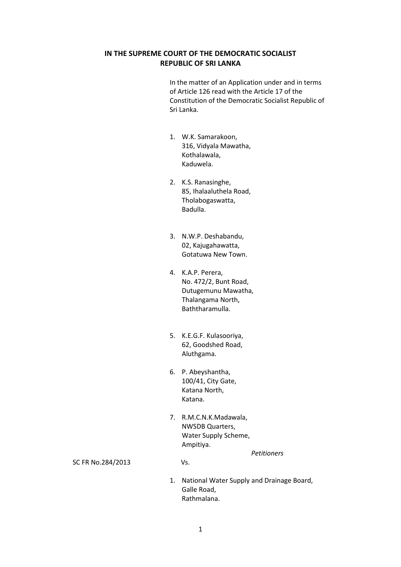## **IN THE SUPREME COURT OF THE DEMOCRATIC SOCIALIST REPUBLIC OF SRI LANKA**

In the matter of an Application under and in terms of Article 126 read with the Article 17 of the Constitution of the Democratic Socialist Republic of Sri Lanka.

- 1. W.K. Samarakoon, 316, Vidyala Mawatha, Kothalawala, Kaduwela.
- 2. K.S. Ranasinghe, 85, Ihalaaluthela Road, Tholabogaswatta, Badulla.
- 3. N.W.P. Deshabandu, 02, Kajugahawatta, Gotatuwa New Town.
- 4. K.A.P. Perera, No. 472/2, Bunt Road, Dutugemunu Mawatha, Thalangama North, Baththaramulla.
- 5. K.E.G.F. Kulasooriya, 62, Goodshed Road, Aluthgama.
- 6. P. Abeyshantha, 100/41, City Gate, Katana North, Katana.
- 7. R.M.C.N.K.Madawala, NWSDB Quarters, Water Supply Scheme, Ampitiya.

SC FR No.284/2013 Vs.

1. National Water Supply and Drainage Board, Galle Road, Rathmalana.

 *Petitioners*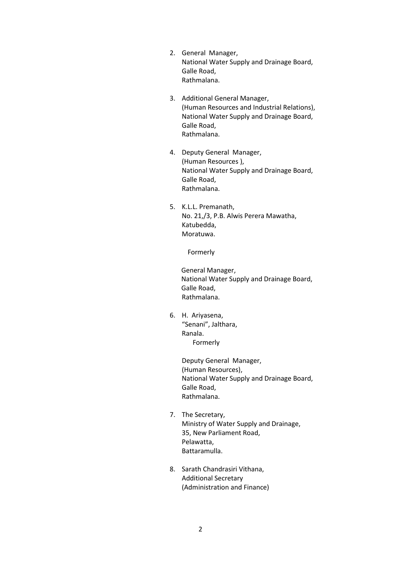- 2. General Manager, National Water Supply and Drainage Board, Galle Road, Rathmalana.
- 3. Additional General Manager, (Human Resources and Industrial Relations), National Water Supply and Drainage Board, Galle Road, Rathmalana.
- 4. Deputy General Manager, (Human Resources ), National Water Supply and Drainage Board, Galle Road, Rathmalana.
- 5. K.L.L. Premanath, No. 21,/3, P.B. Alwis Perera Mawatha, Katubedda, Moratuwa.

Formerly

General Manager, National Water Supply and Drainage Board, Galle Road, Rathmalana.

6. H. Ariyasena, "Senani", Jalthara, Ranala. Formerly

> Deputy General Manager, (Human Resources), National Water Supply and Drainage Board, Galle Road, Rathmalana.

- 7. The Secretary, Ministry of Water Supply and Drainage, 35, New Parliament Road, Pelawatta, Battaramulla.
- 8. Sarath Chandrasiri Vithana, Additional Secretary (Administration and Finance)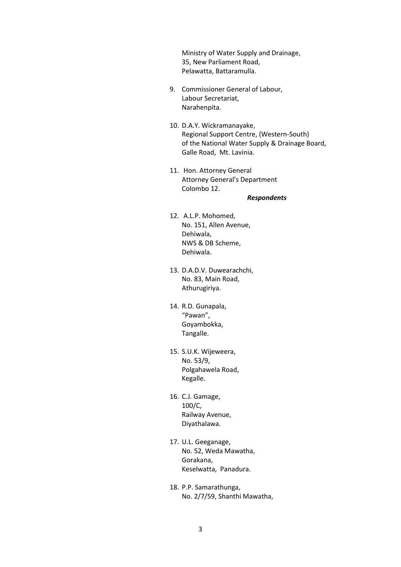Ministry of Water Supply and Drainage, 35, New Parliament Road, Pelawatta, Battaramulla.

- 9. Commissioner General of Labour, Labour Secretariat, Narahenpita.
- 10. D.A.Y. Wickramanayake, Regional Support Centre, (Western-South) of the National Water Supply & Drainage Board, Galle Road, Mt. Lavinia.
- 11. Hon. Attorney General Attorney General's Department Colombo 12.

#### *Respondents*

- 12. A.L.P. Mohomed, No. 151, Allen Avenue, Dehiwala, NWS & DB Scheme, Dehiwala.
- 13. D.A.D.V. Duwearachchi, No. 83, Main Road, Athurugiriya.
- 14. R.D. Gunapala, "Pawan", Goyambokka, Tangalle.
- 15. S.U.K. Wijeweera, No. 53/9, Polgahawela Road, Kegalle.
- 16. C.J. Gamage, 100/C, Railway Avenue, Diyathalawa.
- 17. U.L. Geeganage, No. 52, Weda Mawatha, Gorakana, Keselwatta, Panadura.
- 18. P.P. Samarathunga, No. 2/7/59, Shanthi Mawatha,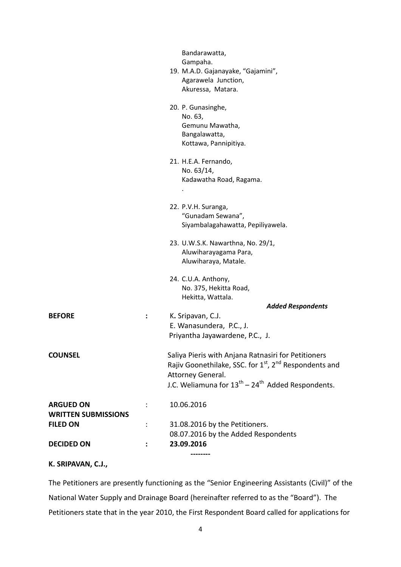|                                                |                      | Bandarawatta,<br>Gampaha.<br>19. M.A.D. Gajanayake, "Gajamini",<br>Agarawela Junction,<br>Akuressa, Matara.                                                                                                               |
|------------------------------------------------|----------------------|---------------------------------------------------------------------------------------------------------------------------------------------------------------------------------------------------------------------------|
|                                                |                      | 20. P. Gunasinghe,<br>No. 63,<br>Gemunu Mawatha,<br>Bangalawatta,<br>Kottawa, Pannipitiya.                                                                                                                                |
|                                                |                      | 21. H.E.A. Fernando,<br>No. 63/14,<br>Kadawatha Road, Ragama.                                                                                                                                                             |
|                                                |                      | 22. P.V.H. Suranga,<br>"Gunadam Sewana",<br>Siyambalagahawatta, Pepiliyawela.                                                                                                                                             |
|                                                |                      | 23. U.W.S.K. Nawarthna, No. 29/1,<br>Aluwiharayagama Para,<br>Aluwiharaya, Matale.                                                                                                                                        |
|                                                |                      | 24. C.U.A. Anthony,<br>No. 375, Hekitta Road,<br>Hekitta, Wattala.<br><b>Added Respondents</b>                                                                                                                            |
| <b>BEFORE</b>                                  | ÷                    | K. Sripavan, C.J.<br>E. Wanasundera, P.C., J.<br>Priyantha Jayawardene, P.C., J.                                                                                                                                          |
| <b>COUNSEL</b>                                 |                      | Saliya Pieris with Anjana Ratnasiri for Petitioners<br>Rajiv Goonethilake, SSC. for 1 <sup>st</sup> , 2 <sup>nd</sup> Respondents and<br>Attorney General.<br>J.C. Weliamuna for $13^{th}$ – $24^{th}$ Added Respondents. |
| <b>ARGUED ON</b><br><b>WRITTEN SUBMISSIONS</b> |                      | 10.06.2016                                                                                                                                                                                                                |
| <b>FILED ON</b>                                | $\ddot{\phantom{a}}$ | 31.08.2016 by the Petitioners.<br>08.07.2016 by the Added Respondents                                                                                                                                                     |
| <b>DECIDED ON</b>                              | :                    | 23.09.2016                                                                                                                                                                                                                |

# **K. SRIPAVAN, C.J.,**

The Petitioners are presently functioning as the "Senior Engineering Assistants (Civil)" of the National Water Supply and Drainage Board (hereinafter referred to as the "Board"). The Petitioners state that in the year 2010, the First Respondent Board called for applications for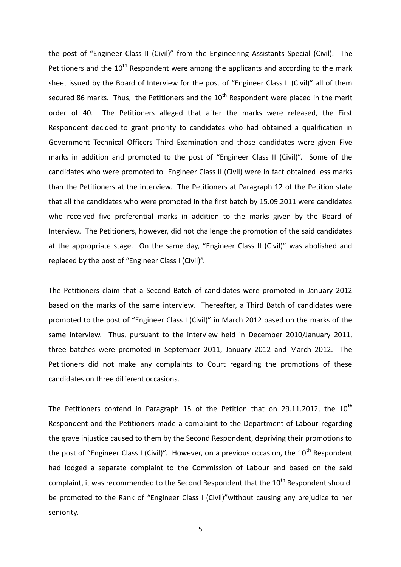the post of "Engineer Class II (Civil)" from the Engineering Assistants Special (Civil). The Petitioners and the  $10^{th}$  Respondent were among the applicants and according to the mark sheet issued by the Board of Interview for the post of "Engineer Class II (Civil)" all of them secured 86 marks. Thus, the Petitioners and the  $10<sup>th</sup>$  Respondent were placed in the merit order of 40. The Petitioners alleged that after the marks were released, the First Respondent decided to grant priority to candidates who had obtained a qualification in Government Technical Officers Third Examination and those candidates were given Five marks in addition and promoted to the post of "Engineer Class II (Civil)". Some of the candidates who were promoted to Engineer Class II (Civil) were in fact obtained less marks than the Petitioners at the interview. The Petitioners at Paragraph 12 of the Petition state that all the candidates who were promoted in the first batch by 15.09.2011 were candidates who received five preferential marks in addition to the marks given by the Board of Interview. The Petitioners, however, did not challenge the promotion of the said candidates at the appropriate stage. On the same day, "Engineer Class II (Civil)" was abolished and replaced by the post of "Engineer Class I (Civil)".

The Petitioners claim that a Second Batch of candidates were promoted in January 2012 based on the marks of the same interview. Thereafter, a Third Batch of candidates were promoted to the post of "Engineer Class I (Civil)" in March 2012 based on the marks of the same interview. Thus, pursuant to the interview held in December 2010/January 2011, three batches were promoted in September 2011, January 2012 and March 2012. The Petitioners did not make any complaints to Court regarding the promotions of these candidates on three different occasions.

The Petitioners contend in Paragraph 15 of the Petition that on 29.11.2012, the  $10^{th}$ Respondent and the Petitioners made a complaint to the Department of Labour regarding the grave injustice caused to them by the Second Respondent, depriving their promotions to the post of "Engineer Class I (Civil)". However, on a previous occasion, the  $10^{th}$  Respondent had lodged a separate complaint to the Commission of Labour and based on the said complaint, it was recommended to the Second Respondent that the  $10^{th}$  Respondent should be promoted to the Rank of "Engineer Class I (Civil)"without causing any prejudice to her seniority.

5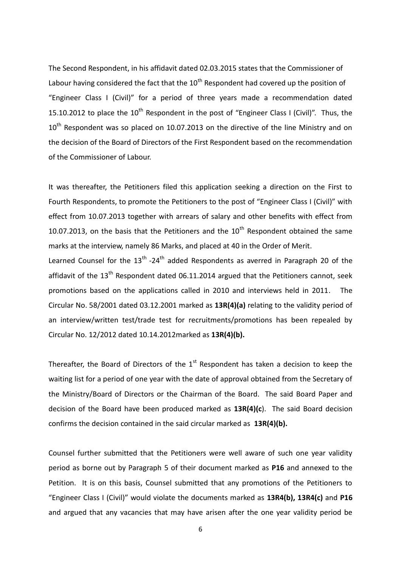The Second Respondent, in his affidavit dated 02.03.2015 states that the Commissioner of Labour having considered the fact that the  $10<sup>th</sup>$  Respondent had covered up the position of "Engineer Class I (Civil)" for a period of three years made a recommendation dated 15.10.2012 to place the  $10^{th}$  Respondent in the post of "Engineer Class I (Civil)". Thus, the  $10<sup>th</sup>$  Respondent was so placed on 10.07.2013 on the directive of the line Ministry and on the decision of the Board of Directors of the First Respondent based on the recommendation of the Commissioner of Labour.

It was thereafter, the Petitioners filed this application seeking a direction on the First to Fourth Respondents, to promote the Petitioners to the post of "Engineer Class I (Civil)" with effect from 10.07.2013 together with arrears of salary and other benefits with effect from 10.07.2013, on the basis that the Petitioners and the  $10<sup>th</sup>$  Respondent obtained the same marks at the interview, namely 86 Marks, and placed at 40 in the Order of Merit.

Learned Counsel for the  $13<sup>th</sup>$  -24<sup>th</sup> added Respondents as averred in Paragraph 20 of the affidavit of the  $13<sup>th</sup>$  Respondent dated 06.11.2014 argued that the Petitioners cannot, seek promotions based on the applications called in 2010 and interviews held in 2011. The Circular No. 58/2001 dated 03.12.2001 marked as **13R(4)(a)** relating to the validity period of an interview/written test/trade test for recruitments/promotions has been repealed by Circular No. 12/2012 dated 10.14.2012marked as **13R(4)(b).**

Thereafter, the Board of Directors of the  $1<sup>st</sup>$  Respondent has taken a decision to keep the waiting list for a period of one year with the date of approval obtained from the Secretary of the Ministry/Board of Directors or the Chairman of the Board. The said Board Paper and decision of the Board have been produced marked as **13R(4)(c**). The said Board decision confirms the decision contained in the said circular marked as **13R(4)(b).**

Counsel further submitted that the Petitioners were well aware of such one year validity period as borne out by Paragraph 5 of their document marked as **P16** and annexed to the Petition. It is on this basis, Counsel submitted that any promotions of the Petitioners to "Engineer Class I (Civil)" would violate the documents marked as **13R4(b), 13R4(c)** and **P16**  and argued that any vacancies that may have arisen after the one year validity period be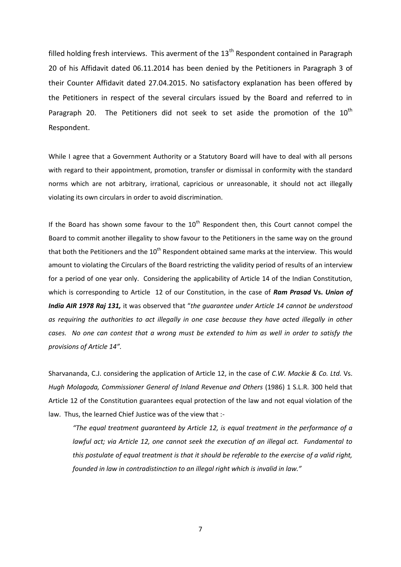filled holding fresh interviews. This averment of the  $13<sup>th</sup>$  Respondent contained in Paragraph 20 of his Affidavit dated 06.11.2014 has been denied by the Petitioners in Paragraph 3 of their Counter Affidavit dated 27.04.2015. No satisfactory explanation has been offered by the Petitioners in respect of the several circulars issued by the Board and referred to in Paragraph 20. The Petitioners did not seek to set aside the promotion of the  $10^{th}$ Respondent.

While I agree that a Government Authority or a Statutory Board will have to deal with all persons with regard to their appointment, promotion, transfer or dismissal in conformity with the standard norms which are not arbitrary, irrational, capricious or unreasonable, it should not act illegally violating its own circulars in order to avoid discrimination.

If the Board has shown some favour to the  $10<sup>th</sup>$  Respondent then, this Court cannot compel the Board to commit another illegality to show favour to the Petitioners in the same way on the ground that both the Petitioners and the  $10<sup>th</sup>$  Respondent obtained same marks at the interview. This would amount to violating the Circulars of the Board restricting the validity period of results of an interview for a period of one year only. Considering the applicability of Article 14 of the Indian Constitution, which is corresponding to Article 12 of our Constitution, in the case of *Ram Prasad* **Vs.** *Union of India AIR 1978 Raj 131,* it was observed that "*the guarantee under Article 14 cannot be understood as requiring the authorities to act illegally in one case because they have acted illegally in other cases. No one can contest that a wrong must be extended to him as well in order to satisfy the provisions of Article 14".*

Sharvananda, C.J. considering the application of Article 12, in the case of *C.W. Mackie & Co. Ltd.* Vs. *Hugh Molagoda, Commissioner General of Inland Revenue and Others* (1986) 1 S.L.R. 300 held that Article 12 of the Constitution guarantees equal protection of the law and not equal violation of the law. Thus, the learned Chief Justice was of the view that :-

*"The equal treatment guaranteed by Article 12, is equal treatment in the performance of a lawful act; via Article 12, one cannot seek the execution of an illegal act. Fundamental to this postulate of equal treatment is that it should be referable to the exercise of a valid right, founded in law in contradistinction to an illegal right which is invalid in law."*

7